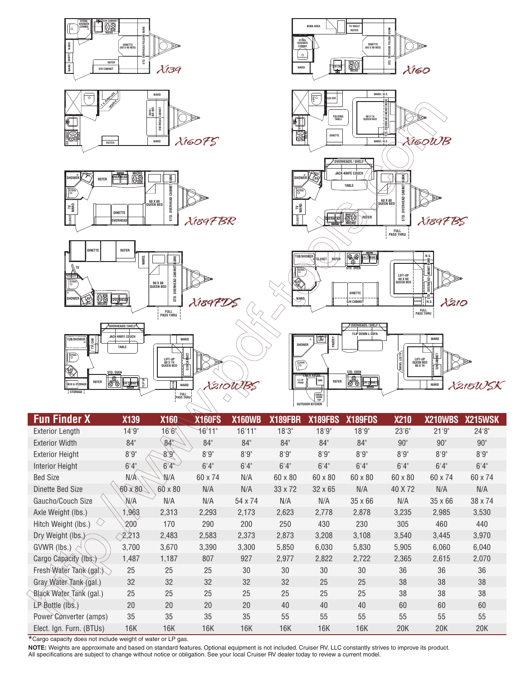

| <b>Fun Finder X</b>                      | <b>X139</b>    | <b>X160</b>     | <b>X160FS</b> | <b>X160WB</b> | X189FBR        | X189FBS        | X189FDS        | <b>X210</b> | X210WBS        | X215WSK |
|------------------------------------------|----------------|-----------------|---------------|---------------|----------------|----------------|----------------|-------------|----------------|---------|
| <b>Exterior Length</b>                   | 14'9''         | 16'6''          | 16'11"        | 16'11"        | 18'3''         | 18'9"          | 18'9"          | 23'6''      | 21'9''         | 24'8''  |
| <b>Exterior Width</b>                    | 84"            | 84 <sup>°</sup> | 84"           | 84"           | 84"            | 84"            | 84"            | 90"         | 90"            | 90"     |
| <b>Exterior Height</b>                   | $8'9"$         | 8.6''           | 8'9''         | 8'9''         | 8'9''          | 8'9''          | 8'9''          | 8'9''       | 8'9''          | 8'9''   |
| <b>Interior Height</b>                   | 6'4''          | 6'4''           | 6'4''         | 6'4''         | 6'4''          | 6'4''          | 6'4''          | 6'4''       | 6'4''          | 6'4''   |
| <b>Bed Size</b>                          | N/À            | N/A             | 60 x 74       | N/A           | 60 x 80        | 60 x 80        | 60 x 80        | 60 x 80     | 60 x 74        | 60 x 74 |
| Dinette Bed Size                         | $60 \times 80$ | 60 x 80         | N/A           | N/A           | $33 \times 72$ | $32 \times 65$ | N/A            | 40 X 72     | N/A            | N/A     |
| Gaucho/Couch Size                        | N/A            | N/A             | N/A           | 54 x 74       | N/A            | N/A            | $35 \times 66$ | N/A         | $35 \times 66$ | 38 x 74 |
| Axle Weight (lbs.)                       | ,963           | 2,313           | 2,293         | 2,173         | 2,623          | 2,778          | 2,878          | 3,235       | 2,985          | 3,530   |
| $\langle \rangle$<br>Hitch Weight (lbs.) | 200            | 170             | 290           | 200           | 250            | 430            | 230            | 305         | 460            | 440     |
| Dry Weight (lbs.)                        | 2,213          | 2,483           | 2,583         | 2,373         | 2,873          | 3,208          | 3,108          | 3,540       | 3,445          | 3,970   |
| GVWR (lbs.)                              | 3,700          | 3,670           | 3,390         | 3,300         | 5,850          | 6,030          | 5,830          | 5,905       | 6,060          | 6,040   |
| Cargo Capacity (lbs.)                    | 1,487          | 1,187           | 807           | 927           | 2,977          | 2,822          | 2,722          | 2,365       | 2,615          | 2,070   |
| Fresh Water Tank (gal.)                  | 25             | 25              | 25            | 30            | 30             | 30             | 30             | 36          | 36             | 36      |
| Gray Water Tank (gal.)                   | 32             | 32              | 32            | 32            | 32             | 25             | 25             | 38          | 38             | 38      |
| Black Water Tank (gal.)                  | 25             | 25              | 25            | 25            | 25             | 25             | 25             | 38          | 38             | 38      |
| $LP$ Bottle ( $l$ bs.)                   | 20             | 20              | 20            | 20            | 40             | 40             | 40             | 60          | 60             | 60      |
| Power Converter (amps)                   | 35             | 35              | 35            | 35            | 55             | 55             | 55             | 55          | 55             | 55      |
| Elect. Ign. Furn. (BTUs)                 | 16K            | 16K             | 16K           | 16K           | 16K            | 16K            | 16K            | 20K         | 20K            | 20K     |

\*Cargo capacity does not include weight of water or LP gas.

**NOTE:** Weights are approximate and based on standard features. Optional equipment is not included. Cruiser RV, LLC constantly strives to improve its product.<br>All specifications are subject to change without notice or obli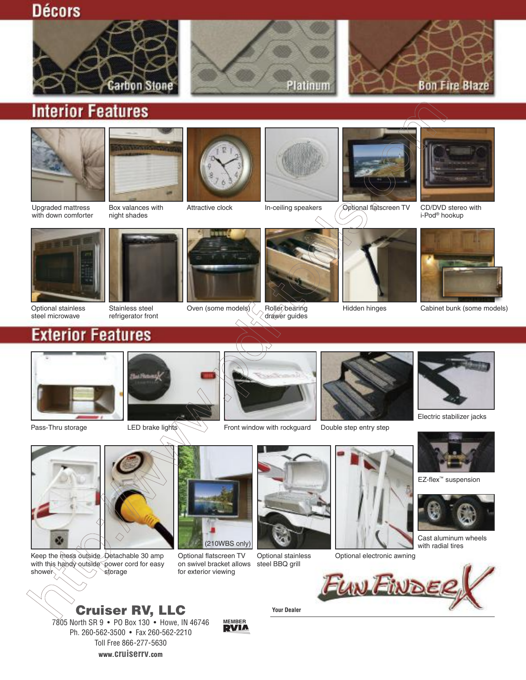**Décors** 







## **Interior Features**





Upgraded mattress with down comforter



Attractive clock







In-ceiling speakers *Q*ptional flatscreen TV CD/DVD stereo with



i-Pod® hookup



Optional stainless steel microwave



Stainless steel refrigerator front



Oven (some models)  $\langle \rangle$  Roller bearing



drawer guides

Hidden hinges



Cabinet bunk (some models)





Pass-Thru storage











Electric stabilizer jacks



EZ-flex™ suspension



Cast aluminum wheels with radial tires



Keep the mess outside Detachable 30 amp with this handy outside power cord for easy storage with the



Optional flatscreen TV on swivel bracket allows for exterior viewing

**MEMBER**

steel BBQ grill



Optional stainless Optional electronic awning



**Cruiser RV, LLC** 7805 North SR 9 • PO Box 130 • Howe, IN 46746 Ph. 260-562-3500 • Fax 260-562-2210 Toll Free 866-277-5630 **www.cruiserrv.com**

**Your Dealer**

LED brake lights **Front window with rockguard** Double step entry step

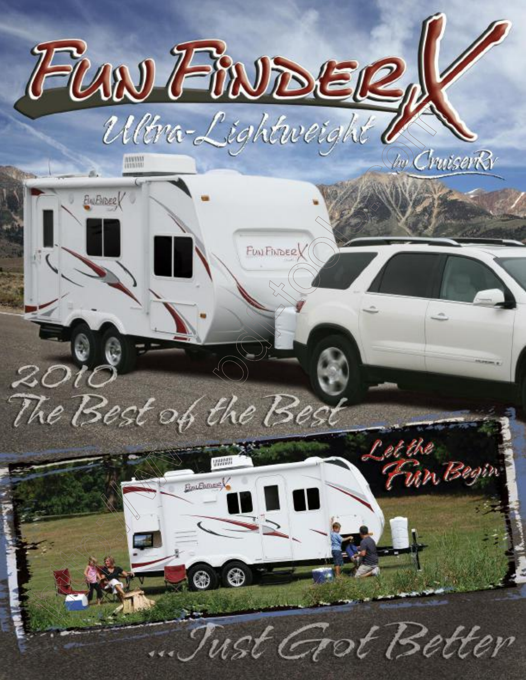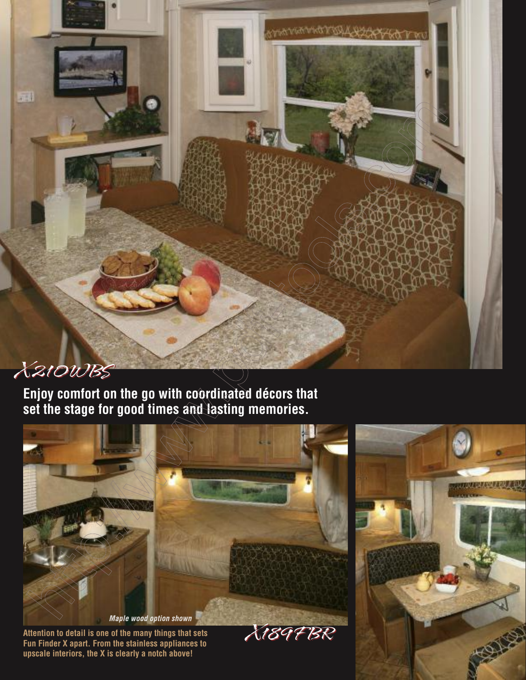## X210WBS

罪

**Enjoy comfort on the go with coordinated décors that set the stage for good times and lasting memories.**



**Fun Finder X apart. From the stainless appliances to upscale interiors, the X is clearly a notch above!**

**COLLECTION TO THE TELEPHY**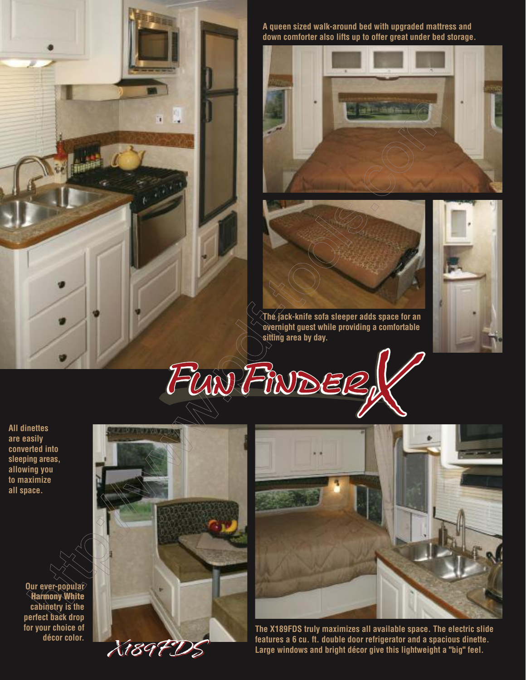

**A queen sized walk-around bed with upgraded mattress and down comforter also lifts up to offer great under bed storage.**



**The jack-knife sofa sleeper adds space for an overnight guest while providing a comfortable sitting area by day.**



**All dinettes are easily converted into sleeping areas, allowing you to maximize all space.**

**Our ever-popular Harmony White cabinetry is the perfect back drop for your choice of décor color.**





**The X189FDS truly maximizes all available space. The electric slide features a 6 cu. ft. double door refrigerator and a spacious dinette. Large windows and bright décor give this lightweight a "big" feel.**